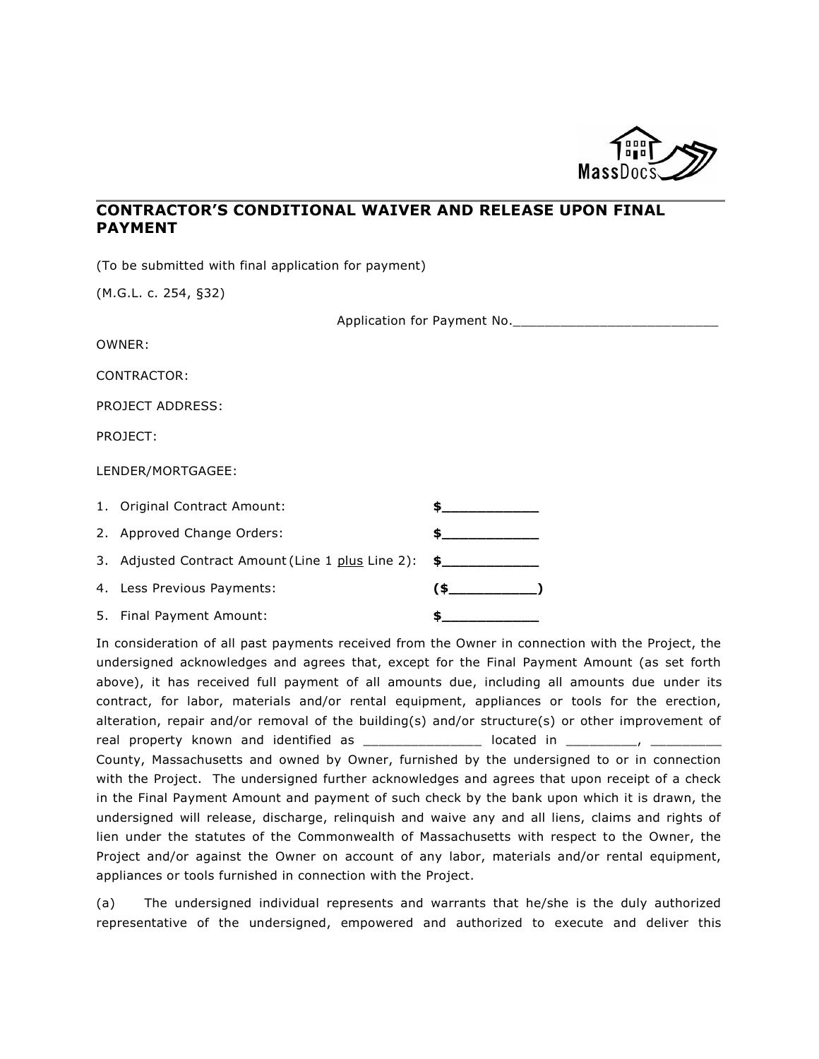

## **CONTRACTOR'S CONDITIONAL WAIVER AND RELEASE UPON FINAL PAYMENT**

(To be submitted with final application for payment)

(M.G.L. c. 254, §32)

| Application for Payment No. |  |  |
|-----------------------------|--|--|
| OWNER:                      |  |  |
| CONTRACTOR:                 |  |  |
| PROJECT ADDRESS:            |  |  |
| PROJECT:                    |  |  |

LENDER/MORTGAGEE:

| 1. Original Contract Amount:                                    |  |
|-----------------------------------------------------------------|--|
| 2. Approved Change Orders:                                      |  |
| 3. Adjusted Contract Amount (Line 1 plus Line 2): $\frac{2}{1}$ |  |
| 4. Less Previous Payments:                                      |  |
| 5. Final Payment Amount:                                        |  |

In consideration of all past payments received from the Owner in connection with the Project, the undersigned acknowledges and agrees that, except for the Final Payment Amount (as set forth above), it has received full payment of all amounts due, including all amounts due under its contract, for labor, materials and/or rental equipment, appliances or tools for the erection, alteration, repair and/or removal of the building(s) and/or structure(s) or other improvement of real property known and identified as \_\_\_\_\_\_\_\_\_\_\_\_\_\_\_ located in \_\_\_\_\_\_\_\_\_, \_\_\_\_\_\_\_\_\_ County, Massachusetts and owned by Owner, furnished by the undersigned to or in connection with the Project. The undersigned further acknowledges and agrees that upon receipt of a check in the Final Payment Amount and payment of such check by the bank upon which it is drawn, the undersigned will release, discharge, relinquish and waive any and all liens, claims and rights of lien under the statutes of the Commonwealth of Massachusetts with respect to the Owner, the Project and/or against the Owner on account of any labor, materials and/or rental equipment, appliances or tools furnished in connection with the Project.

(a) The undersigned individual represents and warrants that he/she is the duly authorized representative of the undersigned, empowered and authorized to execute and deliver this